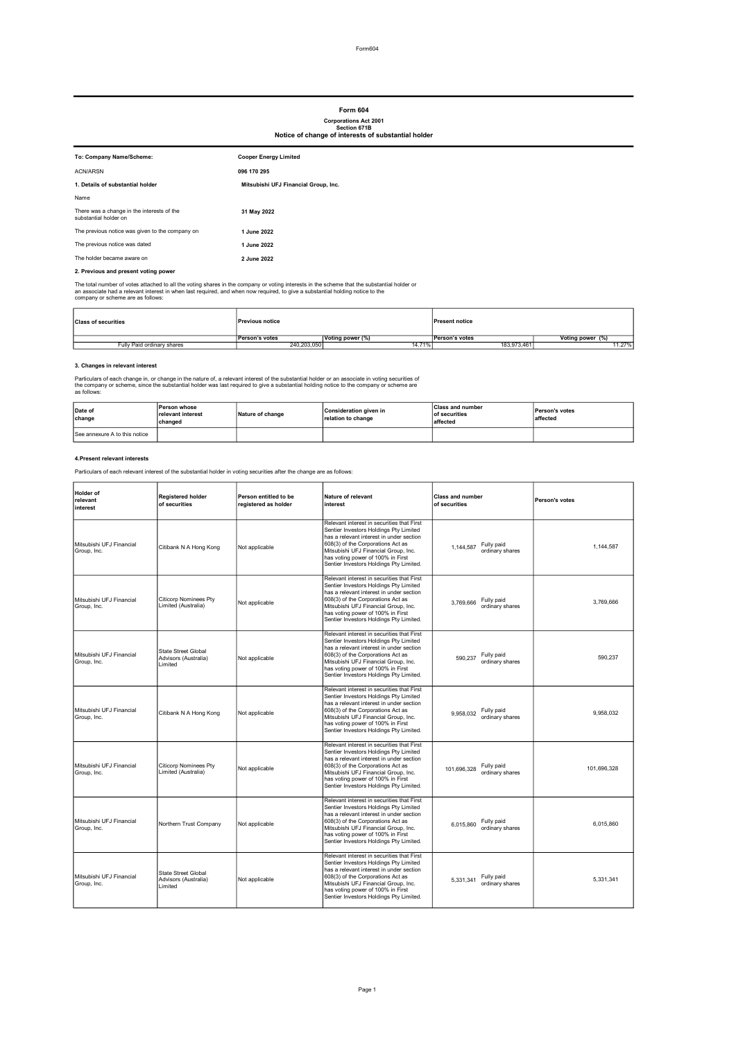# Form 604

Corporations Act 2001 Section 671B Notice of change of interests of substantial holder

| To: Company Name/Scheme:                                            | <b>Cooper Energy Limited</b>         |
|---------------------------------------------------------------------|--------------------------------------|
| ACN/ARSN                                                            | 096 170 295                          |
| 1. Details of substantial holder                                    | Mitsubishi UFJ Financial Group, Inc. |
| Name                                                                |                                      |
| There was a change in the interests of the<br>substantial holder on | 31 May 2022                          |
| The previous notice was given to the company on                     | 1 June 2022                          |
| The previous notice was dated                                       | 1 June 2022                          |
| The holder became aware on                                          | 2 June 2022                          |

## 2. Previous and present voting power

The total number of votes attached to all the voting shares in the company or voting interests in the scheme that the substantial holder or<br>an associate had a relevant interest in when last required, and when now required,

| <b>Class of securities</b> | <b>Previous notice</b> |                  | <b>Present notice</b> |                  |
|----------------------------|------------------------|------------------|-----------------------|------------------|
|                            | Person's votes         | Voting power (%) | <b>Person's votes</b> | Voting power (%) |
| Fully Paid ordinary shares | 240.203.050            | 14.71%           | 183,973,461           | 11.27%           |

#### 3. Changes in relevant interest

Particulars of each change in, or change in the nature of, a relevant interest of the substantial holder or an associate in voting securities of<br>the company or scheme, since the substantial holder was last required to give

| Date of<br>change             | Person whose<br>relevant interest<br>changed | Nature of change | Consideration given in<br>relation to change | <b>Class and number</b><br><b>of securities</b><br>laffected | <b>Person's votes</b><br>affected |
|-------------------------------|----------------------------------------------|------------------|----------------------------------------------|--------------------------------------------------------------|-----------------------------------|
| See annexure A to this notice |                                              |                  |                                              |                                                              |                                   |

### 4.Present relevant interests

Particulars of each relevant interest of the substantial holder in voting securities after the change are as follows:

| Holder of<br>relevant<br>interest       | <b>Registered holder</b><br>of securities                     | Person entitled to be<br>registered as holder | Nature of relevant<br>interest                                                                                                                                                                                                                                                                | <b>Class and number</b><br>of securities     | Person's votes |
|-----------------------------------------|---------------------------------------------------------------|-----------------------------------------------|-----------------------------------------------------------------------------------------------------------------------------------------------------------------------------------------------------------------------------------------------------------------------------------------------|----------------------------------------------|----------------|
| Mitsubishi UFJ Financial<br>Group, Inc. | Citibank N A Hong Kong                                        | Not applicable                                | Relevant interest in securities that First<br>Sentier Investors Holdings Pty Limited<br>has a relevant interest in under section<br>608(3) of the Corporations Act as<br>Mitsubishi UFJ Financial Group, Inc.<br>has voting power of 100% in First<br>Sentier Investors Holdings Pty Limited. | Fully paid<br>1,144,587<br>ordinary shares   | 1.144.587      |
| Mitsubishi UFJ Financial<br>Group, Inc. | <b>Citicorp Nominees Pty</b><br>Limited (Australia)           | Not applicable                                | Relevant interest in securities that First<br>Sentier Investors Holdings Pty Limited<br>has a relevant interest in under section<br>608(3) of the Corporations Act as<br>Mitsubishi UFJ Financial Group, Inc.<br>has voting power of 100% in First<br>Sentier Investors Holdings Pty Limited. | Fully paid<br>3,769,666<br>ordinary shares   | 3.769.666      |
| Mitsubishi UFJ Financial<br>Group, Inc. | <b>State Street Global</b><br>Advisors (Australia)<br>Limited | Not applicable                                | Relevant interest in securities that First<br>Sentier Investors Holdings Pty Limited<br>has a relevant interest in under section<br>608(3) of the Corporations Act as<br>Mitsubishi UFJ Financial Group, Inc.<br>has voting power of 100% in First<br>Sentier Investors Holdings Pty Limited. | Fully paid<br>590.237<br>ordinary shares     | 590.237        |
| Mitsubishi UFJ Financial<br>Group, Inc. | Citibank N A Hong Kong                                        | Not applicable                                | Relevant interest in securities that First<br>Sentier Investors Holdings Pty Limited<br>has a relevant interest in under section<br>608(3) of the Corporations Act as<br>Mitsubishi UFJ Financial Group, Inc.<br>has voting power of 100% in First<br>Sentier Investors Holdings Pty Limited. | Fully paid<br>9,958,032<br>ordinary shares   | 9.958.032      |
| Mitsubishi UFJ Financial<br>Group, Inc. | <b>Citicorp Nominees Pty</b><br>Limited (Australia)           | Not applicable                                | Relevant interest in securities that First<br>Sentier Investors Holdings Pty Limited<br>has a relevant interest in under section<br>608(3) of the Corporations Act as<br>Mitsubishi UFJ Financial Group, Inc.<br>has voting power of 100% in First<br>Sentier Investors Holdings Pty Limited. | Fully paid<br>101,696,328<br>ordinary shares | 101,696,328    |
| Mitsubishi UFJ Financial<br>Group, Inc. | Northern Trust Company                                        | Not applicable                                | Relevant interest in securities that First<br>Sentier Investors Holdings Pty Limited<br>has a relevant interest in under section<br>608(3) of the Corporations Act as<br>Mitsubishi UFJ Financial Group, Inc.<br>has voting power of 100% in First<br>Sentier Investors Holdings Pty Limited. | Fully paid<br>6.015.860<br>ordinary shares   | 6.015.860      |
| Mitsubishi UFJ Financial<br>Group, Inc. | <b>State Street Global</b><br>Advisors (Australia)<br>Limited | Not applicable                                | Relevant interest in securities that First<br>Sentier Investors Holdings Pty Limited<br>has a relevant interest in under section<br>608(3) of the Corporations Act as<br>Mitsubishi UFJ Financial Group, Inc.<br>has voting power of 100% in First<br>Sentier Investors Holdings Pty Limited. | Fully paid<br>5.331.341<br>ordinary shares   | 5.331.341      |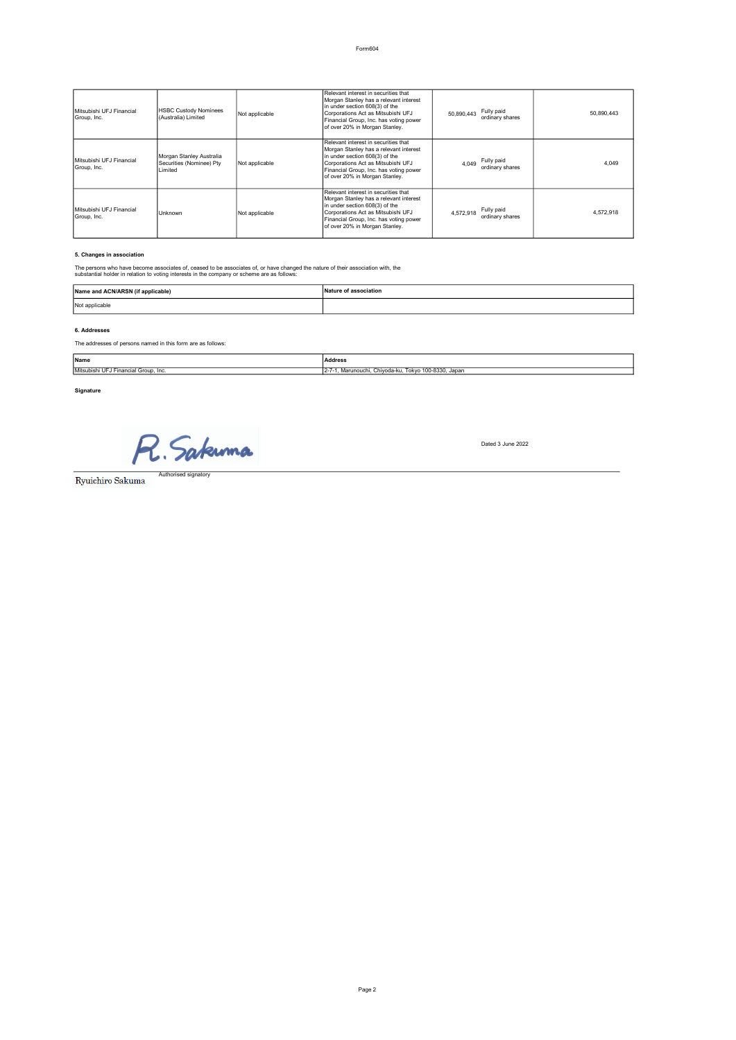| Mitsubishi UFJ Financial<br>Group, Inc. | <b>HSBC Custody Nominees</b><br>(Australia) Limited              | Not applicable | Relevant interest in securities that<br>Morgan Stanley has a relevant interest<br>in under section 608(3) of the<br>Corporations Act as Mitsubishi UFJ<br>Financial Group, Inc. has voting power<br>of over 20% in Morgan Stanley. | Fully paid<br>50.890.443<br>ordinary shares | 50,890,443 |
|-----------------------------------------|------------------------------------------------------------------|----------------|------------------------------------------------------------------------------------------------------------------------------------------------------------------------------------------------------------------------------------|---------------------------------------------|------------|
| Mitsubishi UFJ Financial<br>Group, Inc. | Morgan Stanley Australia<br>Securities (Nominee) Pty<br>I imited | Not applicable | Relevant interest in securities that<br>Morgan Stanley has a relevant interest<br>in under section 608(3) of the<br>Corporations Act as Mitsubishi UFJ<br>Financial Group, Inc. has voting power<br>of over 20% in Morgan Stanley. | Fully paid<br>4.049<br>ordinary shares      | 4.049      |
| Mitsubishi UFJ Financial<br>Group, Inc. | Unknown                                                          | Not applicable | Relevant interest in securities that<br>Morgan Stanley has a relevant interest<br>in under section 608(3) of the<br>Corporations Act as Mitsubishi UFJ<br>Financial Group, Inc. has voting power<br>of over 20% in Morgan Stanley. | Fully paid<br>4.572.918<br>ordinary shares  | 4.572.918  |

### 5. Changes in association

The persons who have become associates of, ceased to be associates of, or have changed the nature of their association with, the substantial holder in relation to voting interests in the company or scheme are as follows:

| Name and ACN/ARSN (if applicable) | Nature of association |
|-----------------------------------|-----------------------|
| Not applicable                    |                       |

## 6. Addresses

The addresses of persons named in this form are as follows:

| Name                                      | Address<br>.                                                         |
|-------------------------------------------|----------------------------------------------------------------------|
| Mitsubishi<br>i UFJ Financial Group, Inc. | Tokyo 100-8330<br>Japar<br>. Marunouchi. Chivoda-ku.<br>$12 - 1 - 7$ |

## Signature

R. Sakunna

Authori

Dated 3 June 2022

Ryuichiro Sakuma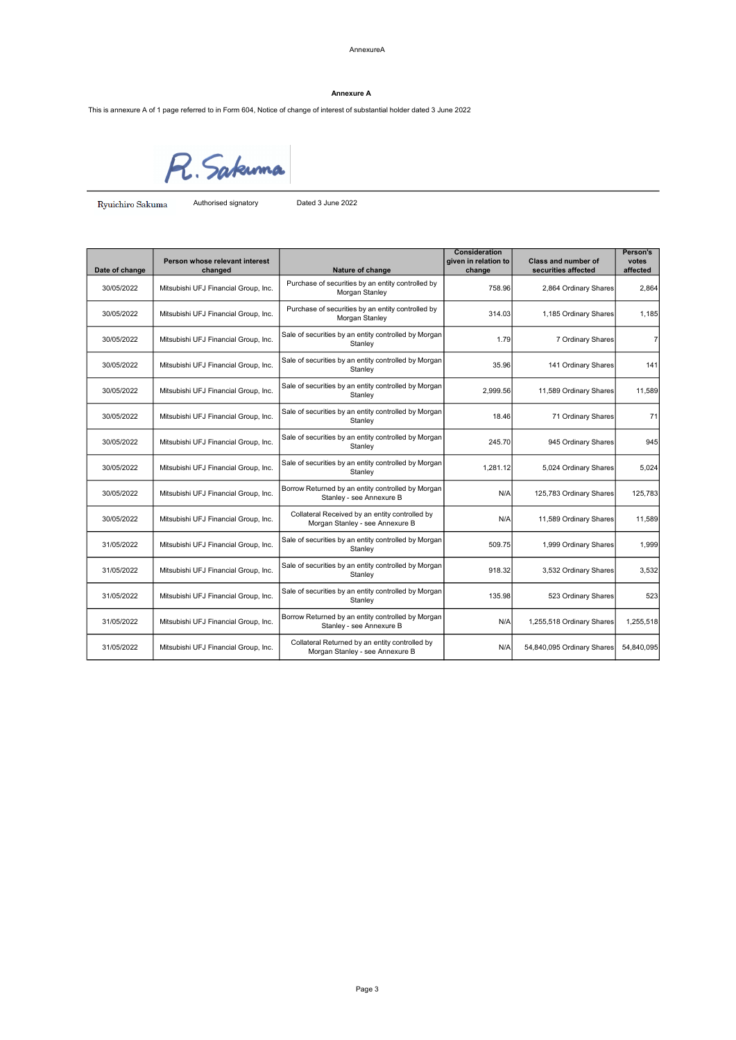AnnexureA

## Annexure A

This is annexure A of 1 page referred to in Form 604, Notice of change of interest of substantial holder dated 3 June 2022



Ryuichiro Sakuma Authorised signatory Dated 3 June 2022

| Date of change | Person whose relevant interest<br>changed | Nature of change                                                                  | <b>Consideration</b><br>given in relation to<br>change | <b>Class and number of</b><br>securities affected | Person's<br>votes<br>affected |
|----------------|-------------------------------------------|-----------------------------------------------------------------------------------|--------------------------------------------------------|---------------------------------------------------|-------------------------------|
| 30/05/2022     | Mitsubishi UFJ Financial Group, Inc.      | Purchase of securities by an entity controlled by<br>Morgan Stanley               | 758.96                                                 | 2,864 Ordinary Shares                             | 2.864                         |
| 30/05/2022     | Mitsubishi UFJ Financial Group, Inc.      | Purchase of securities by an entity controlled by<br>Morgan Stanley               | 314.03                                                 | 1,185 Ordinary Shares                             | 1.185                         |
| 30/05/2022     | Mitsubishi UFJ Financial Group, Inc.      | Sale of securities by an entity controlled by Morgan<br>Stanley                   | 1.79                                                   | 7 Ordinary Shares                                 | $\overline{7}$                |
| 30/05/2022     | Mitsubishi UFJ Financial Group, Inc.      | Sale of securities by an entity controlled by Morgan<br>Stanley                   | 35.96                                                  | 141 Ordinary Shares                               | 141                           |
| 30/05/2022     | Mitsubishi UFJ Financial Group, Inc.      | Sale of securities by an entity controlled by Morgan<br>Stanley                   | 2,999.56                                               | 11,589 Ordinary Shares                            | 11,589                        |
| 30/05/2022     | Mitsubishi UFJ Financial Group, Inc.      | Sale of securities by an entity controlled by Morgan<br>Stanley                   | 18.46                                                  | 71 Ordinary Shares                                | 71                            |
| 30/05/2022     | Mitsubishi UFJ Financial Group, Inc.      | Sale of securities by an entity controlled by Morgan<br>Stanley                   | 245.70                                                 | 945 Ordinary Shares                               | 945                           |
| 30/05/2022     | Mitsubishi UFJ Financial Group, Inc.      | Sale of securities by an entity controlled by Morgan<br>Stanley                   | 1,281.12                                               | 5,024 Ordinary Shares                             | 5,024                         |
| 30/05/2022     | Mitsubishi UFJ Financial Group, Inc.      | Borrow Returned by an entity controlled by Morgan<br>Stanley - see Annexure B     | N/A                                                    | 125,783 Ordinary Shares                           | 125.783                       |
| 30/05/2022     | Mitsubishi UFJ Financial Group, Inc.      | Collateral Received by an entity controlled by<br>Morgan Stanley - see Annexure B | N/A                                                    | 11,589 Ordinary Shares                            | 11,589                        |
| 31/05/2022     | Mitsubishi UFJ Financial Group, Inc.      | Sale of securities by an entity controlled by Morgan<br>Stanley                   | 509.75                                                 | 1,999 Ordinary Shares                             | 1.999                         |
| 31/05/2022     | Mitsubishi UFJ Financial Group, Inc.      | Sale of securities by an entity controlled by Morgan<br>Stanley                   | 918.32                                                 | 3,532 Ordinary Shares                             | 3.532                         |
| 31/05/2022     | Mitsubishi UFJ Financial Group, Inc.      | Sale of securities by an entity controlled by Morgan<br>Stanley                   | 135.98                                                 | 523 Ordinary Shares                               | 523                           |
| 31/05/2022     | Mitsubishi UFJ Financial Group, Inc.      | Borrow Returned by an entity controlled by Morgan<br>Stanley - see Annexure B     | N/A                                                    | 1,255,518 Ordinary Shares                         | 1.255.518                     |
| 31/05/2022     | Mitsubishi UFJ Financial Group, Inc.      | Collateral Returned by an entity controlled by<br>Morgan Stanley - see Annexure B | N/A                                                    | 54,840,095 Ordinary Shares                        | 54,840,095                    |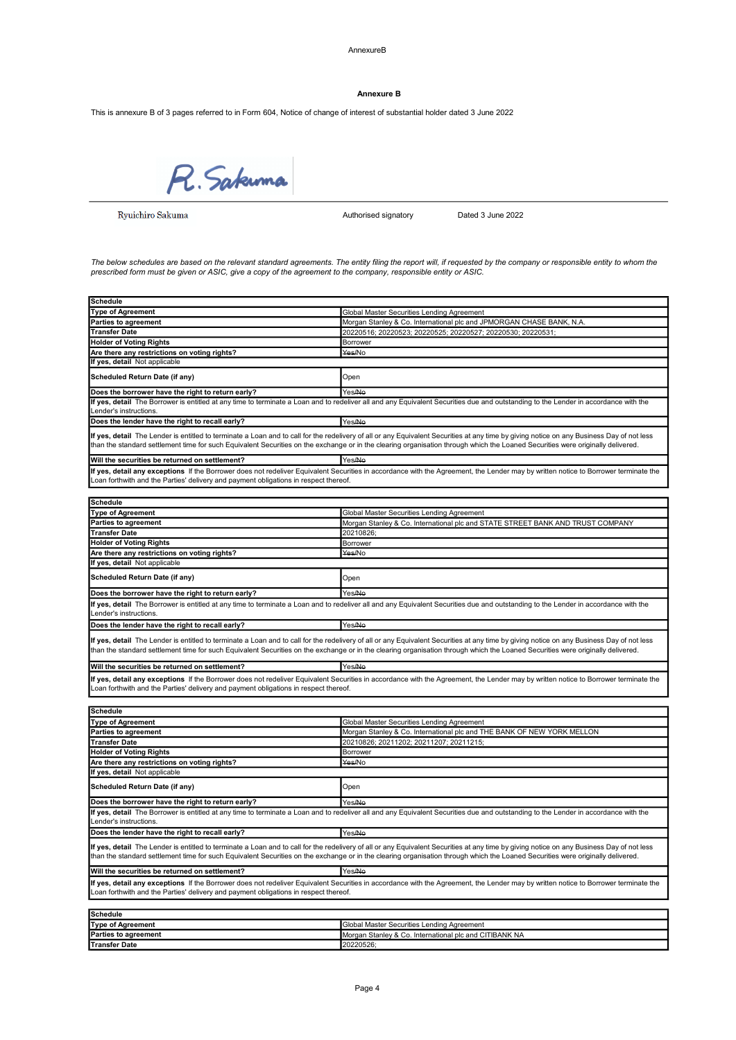AnnexureB

### Annexure B

This is annexure B of 3 pages referred to in Form 604, Notice of change of interest of substantial holder dated 3 June 2022

R. Sakuma

Ryuichiro Sakuma

Authorised signatory Dated 3 June 2022

The below schedules are based on the relevant standard agreements. The entity filing the report will, if requested by the company or responsible entity to whom the prescribed form must be given or ASIC, give a copy of the agreement to the company, responsible entity or ASIC.

| <b>Schedule</b>                                                                      |                                                                                                                                                                                                                                                                                                                                                                              |
|--------------------------------------------------------------------------------------|------------------------------------------------------------------------------------------------------------------------------------------------------------------------------------------------------------------------------------------------------------------------------------------------------------------------------------------------------------------------------|
| <b>Type of Agreement</b>                                                             | Global Master Securities Lending Agreement                                                                                                                                                                                                                                                                                                                                   |
| <b>Parties to agreement</b>                                                          | Morgan Stanley & Co. International plc and JPMORGAN CHASE BANK, N.A.                                                                                                                                                                                                                                                                                                         |
| <b>Transfer Date</b>                                                                 | 20220516; 20220523; 20220525; 20220527; 20220530; 20220531;                                                                                                                                                                                                                                                                                                                  |
| <b>Holder of Voting Rights</b>                                                       | Borrower                                                                                                                                                                                                                                                                                                                                                                     |
| Are there any restrictions on voting rights?                                         | Yes/No                                                                                                                                                                                                                                                                                                                                                                       |
| If yes, detail Not applicable                                                        |                                                                                                                                                                                                                                                                                                                                                                              |
|                                                                                      |                                                                                                                                                                                                                                                                                                                                                                              |
| Scheduled Return Date (if any)                                                       | Open                                                                                                                                                                                                                                                                                                                                                                         |
| Does the borrower have the right to return early?                                    | Yes/No                                                                                                                                                                                                                                                                                                                                                                       |
| Lender's instructions.                                                               | If yes, detail The Borrower is entitled at any time to terminate a Loan and to redeliver all and any Equivalent Securities due and outstanding to the Lender in accordance with the                                                                                                                                                                                          |
| Does the lender have the right to recall early?                                      | Yes/No                                                                                                                                                                                                                                                                                                                                                                       |
|                                                                                      | If yes, detail The Lender is entitled to terminate a Loan and to call for the redelivery of all or any Equivalent Securities at any time by giving notice on any Business Day of not less<br>than the standard settlement time for such Equivalent Securities on the exchange or in the clearing organisation through which the Loaned Securities were originally delivered. |
| Will the securities be returned on settlement?                                       | Yes/No                                                                                                                                                                                                                                                                                                                                                                       |
| Loan forthwith and the Parties' delivery and payment obligations in respect thereof. | If yes, detail any exceptions If the Borrower does not redeliver Equivalent Securities in accordance with the Agreement, the Lender may by written notice to Borrower terminate the                                                                                                                                                                                          |
|                                                                                      |                                                                                                                                                                                                                                                                                                                                                                              |
| <b>Schedule</b>                                                                      |                                                                                                                                                                                                                                                                                                                                                                              |
| <b>Type of Agreement</b>                                                             | Global Master Securities Lending Agreement                                                                                                                                                                                                                                                                                                                                   |
| <b>Parties to agreement</b>                                                          | Morgan Stanley & Co. International plc and STATE STREET BANK AND TRUST COMPANY                                                                                                                                                                                                                                                                                               |
| <b>Transfer Date</b>                                                                 | 20210826;                                                                                                                                                                                                                                                                                                                                                                    |
| <b>Holder of Voting Rights</b>                                                       | Borrower                                                                                                                                                                                                                                                                                                                                                                     |
| Are there any restrictions on voting rights?                                         | Yes/No                                                                                                                                                                                                                                                                                                                                                                       |
| If yes, detail Not applicable                                                        |                                                                                                                                                                                                                                                                                                                                                                              |
| Scheduled Return Date (if any)                                                       | Open                                                                                                                                                                                                                                                                                                                                                                         |
| Does the borrower have the right to return early?                                    | Yes/No                                                                                                                                                                                                                                                                                                                                                                       |
|                                                                                      | If yes, detail The Borrower is entitled at any time to terminate a Loan and to redeliver all and any Equivalent Securities due and outstanding to the Lender in accordance with the                                                                                                                                                                                          |
| Lender's instructions.                                                               |                                                                                                                                                                                                                                                                                                                                                                              |
| Does the lender have the right to recall early?                                      | Yes/No                                                                                                                                                                                                                                                                                                                                                                       |
|                                                                                      | If yes, detail The Lender is entitled to terminate a Loan and to call for the redelivery of all or any Equivalent Securities at any time by giving notice on any Business Day of not less<br>than the standard settlement time for such Equivalent Securities on the exchange or in the clearing organisation through which the Loaned Securities were originally delivered. |
| Will the securities be returned on settlement?                                       | Yes/No                                                                                                                                                                                                                                                                                                                                                                       |
| Loan forthwith and the Parties' delivery and payment obligations in respect thereof. | If yes, detail any exceptions If the Borrower does not redeliver Equivalent Securities in accordance with the Agreement, the Lender may by written notice to Borrower terminate the                                                                                                                                                                                          |
|                                                                                      |                                                                                                                                                                                                                                                                                                                                                                              |
| <b>Schedule</b>                                                                      |                                                                                                                                                                                                                                                                                                                                                                              |
| <b>Type of Agreement</b>                                                             | Global Master Securities Lending Agreement                                                                                                                                                                                                                                                                                                                                   |
| <b>Parties to agreement</b>                                                          | Morgan Stanley & Co. International plc and THE BANK OF NEW YORK MELLON                                                                                                                                                                                                                                                                                                       |
| <b>Transfer Date</b>                                                                 | 20210826; 20211202; 20211207; 20211215;                                                                                                                                                                                                                                                                                                                                      |
| <b>Holder of Voting Rights</b>                                                       | Borrower                                                                                                                                                                                                                                                                                                                                                                     |
|                                                                                      |                                                                                                                                                                                                                                                                                                                                                                              |
| Are there any restrictions on voting rights?                                         | Yes/No                                                                                                                                                                                                                                                                                                                                                                       |
| If yes, detail Not applicable                                                        |                                                                                                                                                                                                                                                                                                                                                                              |
| <b>Scheduled Return Date (if any)</b>                                                | Open                                                                                                                                                                                                                                                                                                                                                                         |
| Does the borrower have the right to return early?                                    | Yes/No                                                                                                                                                                                                                                                                                                                                                                       |
| Lender's instructions.                                                               | If yes, detail The Borrower is entitled at any time to terminate a Loan and to redeliver all and any Equivalent Securities due and outstanding to the Lender in accordance with the                                                                                                                                                                                          |
|                                                                                      |                                                                                                                                                                                                                                                                                                                                                                              |
| Does the lender have the right to recall early?                                      | Yes/No                                                                                                                                                                                                                                                                                                                                                                       |
|                                                                                      | If yes, detail The Lender is entitled to terminate a Loan and to call for the redelivery of all or any Equivalent Securities at any time by giving notice on any Business Day of not less<br>than the standard settlement time for such Equivalent Securities on the exchange or in the clearing organisation through which the Loaned Securities were originally delivered. |
| Will the securities be returned on settlement?                                       | Yes/No                                                                                                                                                                                                                                                                                                                                                                       |
|                                                                                      | If yes, detail any exceptions If the Borrower does not redeliver Equivalent Securities in accordance with the Agreement, the Lender may by written notice to Borrower terminate the                                                                                                                                                                                          |
| Loan forthwith and the Parties' delivery and payment obligations in respect thereof. |                                                                                                                                                                                                                                                                                                                                                                              |
|                                                                                      |                                                                                                                                                                                                                                                                                                                                                                              |
| <b>Schedule</b>                                                                      |                                                                                                                                                                                                                                                                                                                                                                              |
| <b>Type of Agreement</b>                                                             | Global Master Securities Lending Agreement                                                                                                                                                                                                                                                                                                                                   |
| <b>Parties to agreement</b>                                                          | Morgan Stanley & Co. International plc and CITIBANK NA                                                                                                                                                                                                                                                                                                                       |
|                                                                                      |                                                                                                                                                                                                                                                                                                                                                                              |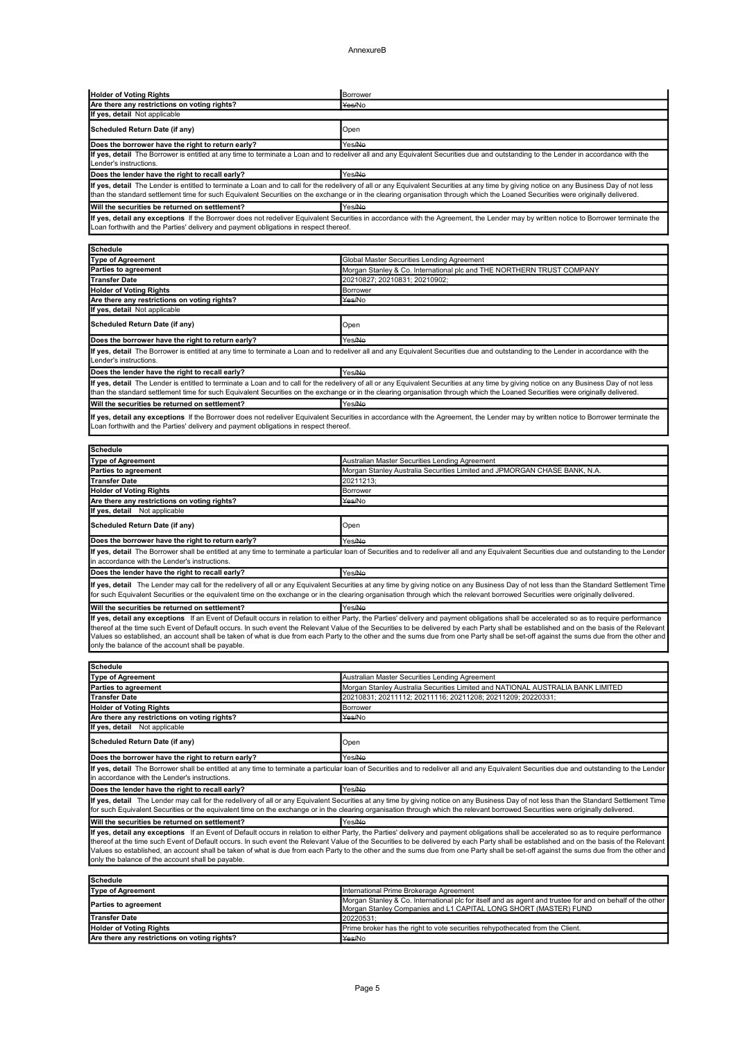### AnnexureB

| <b>Holder of Voting Rights</b>                                                       | Borrower                                                                                                                                                                                                                                                                                                                                                                          |  |  |
|--------------------------------------------------------------------------------------|-----------------------------------------------------------------------------------------------------------------------------------------------------------------------------------------------------------------------------------------------------------------------------------------------------------------------------------------------------------------------------------|--|--|
| Are there any restrictions on voting rights?                                         | Yes/No                                                                                                                                                                                                                                                                                                                                                                            |  |  |
| If yes, detail Not applicable                                                        |                                                                                                                                                                                                                                                                                                                                                                                   |  |  |
| Scheduled Return Date (if any)                                                       | Open                                                                                                                                                                                                                                                                                                                                                                              |  |  |
| Does the borrower have the right to return early?                                    | Yes/No                                                                                                                                                                                                                                                                                                                                                                            |  |  |
| Lender's instructions.                                                               | If yes, detail The Borrower is entitled at any time to terminate a Loan and to redeliver all and any Equivalent Securities due and outstanding to the Lender in accordance with the                                                                                                                                                                                               |  |  |
| Does the lender have the right to recall early?                                      | Yes/No                                                                                                                                                                                                                                                                                                                                                                            |  |  |
|                                                                                      | If yes, detail The Lender is entitled to terminate a Loan and to call for the redelivery of all or any Equivalent Securities at any time by giving notice on any Business Day of not less<br>than the standard settlement time for such Equivalent Securities on the exchange or in the clearing organisation through which the Loaned Securities were originally delivered.      |  |  |
| Will the securities be returned on settlement?                                       | Yes/No                                                                                                                                                                                                                                                                                                                                                                            |  |  |
| Loan forthwith and the Parties' delivery and payment obligations in respect thereof. | If yes, detail any exceptions If the Borrower does not redeliver Equivalent Securities in accordance with the Agreement, the Lender may by written notice to Borrower terminate the                                                                                                                                                                                               |  |  |
|                                                                                      |                                                                                                                                                                                                                                                                                                                                                                                   |  |  |
| <b>Schedule</b><br><b>Type of Agreement</b>                                          |                                                                                                                                                                                                                                                                                                                                                                                   |  |  |
| <b>Parties to agreement</b>                                                          | Global Master Securities Lending Agreement<br>Morgan Stanley & Co. International plc and THE NORTHERN TRUST COMPANY                                                                                                                                                                                                                                                               |  |  |
| <b>Transfer Date</b>                                                                 | 20210827; 20210831; 20210902;                                                                                                                                                                                                                                                                                                                                                     |  |  |
| <b>Holder of Voting Rights</b>                                                       | Borrower                                                                                                                                                                                                                                                                                                                                                                          |  |  |
| Are there any restrictions on voting rights?                                         | Yes/No                                                                                                                                                                                                                                                                                                                                                                            |  |  |
| If yes, detail Not applicable                                                        |                                                                                                                                                                                                                                                                                                                                                                                   |  |  |
| Scheduled Return Date (if any)                                                       | Open                                                                                                                                                                                                                                                                                                                                                                              |  |  |
| Does the borrower have the right to return early?                                    | Yes/No                                                                                                                                                                                                                                                                                                                                                                            |  |  |
| Lender's instructions.                                                               | If yes, detail The Borrower is entitled at any time to terminate a Loan and to redeliver all and any Equivalent Securities due and outstanding to the Lender in accordance with the                                                                                                                                                                                               |  |  |
| Does the lender have the right to recall early?                                      | Yes/No                                                                                                                                                                                                                                                                                                                                                                            |  |  |
|                                                                                      | If yes, detail The Lender is entitled to terminate a Loan and to call for the redelivery of all or any Equivalent Securities at any time by giving notice on any Business Day of not less<br>than the standard settlement time for such Equivalent Securities on the exchange or in the clearing organisation through which the Loaned Securities were originally delivered.      |  |  |
| Will the securities be returned on settlement?                                       | Yes/No                                                                                                                                                                                                                                                                                                                                                                            |  |  |
| Loan forthwith and the Parties' delivery and payment obligations in respect thereof. | If yes, detail any exceptions If the Borrower does not redeliver Equivalent Securities in accordance with the Agreement, the Lender may by written notice to Borrower terminate the                                                                                                                                                                                               |  |  |
|                                                                                      |                                                                                                                                                                                                                                                                                                                                                                                   |  |  |
| <b>Schedule</b><br><b>Type of Agreement</b>                                          |                                                                                                                                                                                                                                                                                                                                                                                   |  |  |
| Parties to agreement                                                                 | Australian Master Securities Lending Agreement<br>Morgan Stanley Australia Securities Limited and JPMORGAN CHASE BANK, N.A.                                                                                                                                                                                                                                                       |  |  |
| <b>Transfer Date</b>                                                                 | 20211213;                                                                                                                                                                                                                                                                                                                                                                         |  |  |
| <b>Holder of Voting Rights</b>                                                       | <b>Borrower</b>                                                                                                                                                                                                                                                                                                                                                                   |  |  |
| Are there any restrictions on voting rights?                                         | Yes/No                                                                                                                                                                                                                                                                                                                                                                            |  |  |
| If yes, detail Not applicable                                                        |                                                                                                                                                                                                                                                                                                                                                                                   |  |  |
| <b>Scheduled Return Date (if any)</b>                                                | Open                                                                                                                                                                                                                                                                                                                                                                              |  |  |
| Does the borrower have the right to return early?                                    | Yes/No                                                                                                                                                                                                                                                                                                                                                                            |  |  |
| in accordance with the Lender's instructions                                         | If yes, detail The Borrower shall be entitled at any time to terminate a particular loan of Securities and to redeliver all and any Equivalent Securities due and outstanding to the Lender                                                                                                                                                                                       |  |  |
| Does the lender have the right to recall early?                                      | Yes/No                                                                                                                                                                                                                                                                                                                                                                            |  |  |
|                                                                                      |                                                                                                                                                                                                                                                                                                                                                                                   |  |  |
|                                                                                      | If yes, detail The Lender may call for the redelivery of all or any Equivalent Securities at any time by giving notice on any Business Day of not less than the Standard Settlement Time<br>for such Equivalent Securities or the equivalent time on the exchange or in the clearing organisation through which the relevant borrowed Securities were originally delivered.       |  |  |
|                                                                                      |                                                                                                                                                                                                                                                                                                                                                                                   |  |  |
| Will the securities be returned on settlement?                                       | Yes/No<br>If yes, detail any exceptions If an Event of Default occurs in relation to either Party, the Parties' delivery and payment obligations shall be accelerated so as to require performance                                                                                                                                                                                |  |  |
| only the balance of the account shall be payable.                                    | thereof at the time such Event of Default occurs. In such event the Relevant Value of the Securities to be delivered by each Party shall be established and on the basis of the Relevant<br>Values so established, an account shall be taken of what is due from each Party to the other and the sums due from one Party shall be set-off against the sums due from the other and |  |  |
|                                                                                      |                                                                                                                                                                                                                                                                                                                                                                                   |  |  |
| <b>Schedule</b>                                                                      |                                                                                                                                                                                                                                                                                                                                                                                   |  |  |
| <b>Type of Agreement</b><br><b>Parties to agreement</b>                              | Australian Master Securities Lending Agreement<br>Morgan Stanley Australia Securities Limited and NATIONAL AUSTRALIA BANK LIMITED                                                                                                                                                                                                                                                 |  |  |
| <b>Transfer Date</b>                                                                 | 20210831; 20211112; 20211116; 20211208; 20211209; 20220331;                                                                                                                                                                                                                                                                                                                       |  |  |
| <b>Holder of Voting Rights</b>                                                       | Borrower                                                                                                                                                                                                                                                                                                                                                                          |  |  |
| Are there any restrictions on voting rights?                                         | Yes/No                                                                                                                                                                                                                                                                                                                                                                            |  |  |
| If yes, detail Not applicable                                                        |                                                                                                                                                                                                                                                                                                                                                                                   |  |  |
| <b>Scheduled Return Date (if any)</b>                                                | Open                                                                                                                                                                                                                                                                                                                                                                              |  |  |
| Does the borrower have the right to return early?                                    | Yes/No                                                                                                                                                                                                                                                                                                                                                                            |  |  |
| in accordance with the Lender's instructions                                         | If yes, detail The Borrower shall be entitled at any time to terminate a particular loan of Securities and to redeliver all and any Equivalent Securities due and outstanding to the Lender                                                                                                                                                                                       |  |  |
| Does the lender have the right to recall early?                                      | Yes/No                                                                                                                                                                                                                                                                                                                                                                            |  |  |
|                                                                                      | If yes, detail The Lender may call for the redelivery of all or any Equivalent Securities at any time by giving notice on any Business Day of not less than the Standard Settlement Time<br>for such Equivalent Securities or the equivalent time on the exchange or in the clearing organisation through which the relevant borrowed Securities were originally delivered.       |  |  |
| Will the securities be returned on settlement?                                       | Yes/No                                                                                                                                                                                                                                                                                                                                                                            |  |  |
|                                                                                      | If yes, detail any exceptions If an Event of Default occurs in relation to either Party, the Parties' delivery and payment obligations shall be accelerated so as to require performance                                                                                                                                                                                          |  |  |
| only the balance of the account shall be payable.                                    | thereof at the time such Event of Default occurs. In such event the Relevant Value of the Securities to be delivered by each Party shall be established and on the basis of the Relevant<br>Values so established, an account shall be taken of what is due from each Party to the other and the sums due from one Party shall be set-off against the sums due from the other and |  |  |
|                                                                                      |                                                                                                                                                                                                                                                                                                                                                                                   |  |  |
| <b>Schedule</b>                                                                      |                                                                                                                                                                                                                                                                                                                                                                                   |  |  |
| <b>Type of Agreement</b>                                                             | International Prime Brokerage Agreement<br>Morgan Stanley & Co. International plc for itself and as agent and trustee for and on behalf of the other                                                                                                                                                                                                                              |  |  |
| <b>Parties to agreement</b>                                                          | Morgan Stanley Companies and L1 CAPITAL LONG SHORT (MASTER) FUND                                                                                                                                                                                                                                                                                                                  |  |  |
| <b>Transfer Date</b>                                                                 | 20220531;                                                                                                                                                                                                                                                                                                                                                                         |  |  |
| <b>Holder of Voting Rights</b><br>Are there any restrictions on voting rights?       | Prime broker has the right to vote securities rehypothecated from the Client.                                                                                                                                                                                                                                                                                                     |  |  |
|                                                                                      | Yes/No                                                                                                                                                                                                                                                                                                                                                                            |  |  |